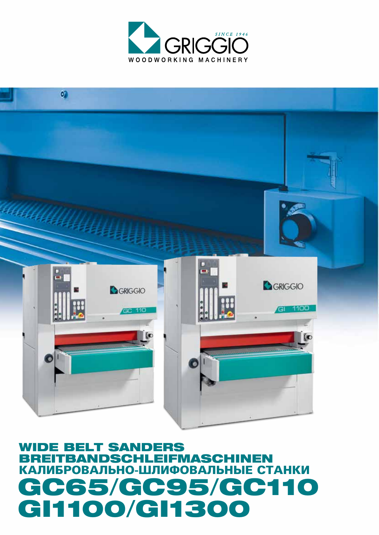# **WIDE BELT SANDERS LEIFMASCHINEN BREITBA** NDSCHI КАЛИБРОВАЛЬНО-ШЛИФОВАЛЬНЫЕ СТАНКИ GC65/GC95/GC110 GI1100/GI1300



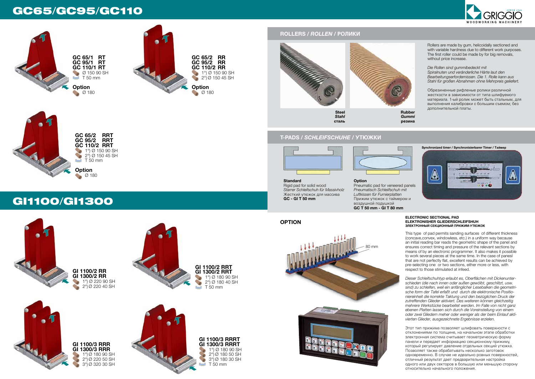# GC65/GC95/GC110



**GI 1100/2 RR GI 1300/2 RR** 1°) Ø 220 90 SH

T 50 mm

**Option** Ø 180





 $2^{\circ}$ ) $\oslash$  220 40 SH

**GI 1100/3 RRRT GI 1300/3 RRRT** 1°) Ø 180 90 SH  $2^{\circ}$ ) $\oslash$  180 50 SH  $3^{\circ}$  $\circ$  180 30 SH T 50 mm

**GI 1100/2 RRT GI 1300/2 RRT** 1°) Ø 180 90 SH  $^{(2)}$   $(2^{\circ})$  Ø 180 40 SH T 50 mm

GI1100/GI1300



**option**





Rollers are made by gum, helicoidally sectioned and with variable hardness due to different work purposes. The first roller could be made by for big removals, without price increase.

*Die Rollen sind gummibedeckt mit Spiralnuten und veränderliche Härte laut den Bearbeitungserfordernissen. Die 1. Rolle kann aus Stahl für großen Abnahmen ohne Mehrpreis geliefert.*

Обрезиненные рифленые ролики различной жесткости в зависимости от типа шлифуемого материала. 1-ый ролик может быть стальным, для выполнения калибровки с большим съемом; без дополнительной платы.

**сталь**



**резина**

**Standard** Rigid pad for solid wood *Starrer Schleifschuh für Massivholz* Жесткий утюжок для массива **GC - GI T 50 mm**

### **Option** Pneumatic pad for veneered panels *Pneumatisch Schleiifschuh mit Luftkissen für Furnierplatten* Прижим утюжок с таймером и воздушной подушкой **GC T 50 mm - GI T 80 mm**

### **ELECTRONIC SECTIONAL PAD ELEKTRONISHER GLIEDERSCHLEIFSHUH Электронный секционный прижим-утюжок**

This type of pad permits sanding surfaces of different thickness (concave,convex, windowless, etc.) in a uniform way because an initial reading bar reads the geometric shape of the panel and ensures correct timing and pressure of the relevant sections by means of by an electronic programmer. It also makes it possible to work several pieces at the same time. In the case of panesl that are not perfectly flat, excellent results can be achieved by pre-selecting one or two sections, either more or less, with respect to those stimulated at infeed.

*Dieser Schleifschuhtyp erlaubt es, Oberflächen mit Dickenunterschieden (die nach innen oder außen gewölbt, geschlitzt, usw. sind) zu schleifen, weil ein anfänglicher Lesebalken die geometrische form der Tafel erfaßt und durch die elektronische Positioniereinheit die korrekte Taktung und den bezüglichen Druck der zutreffenden Glieder aktiviert. Des weiteren können gleichzeitig mehrere Werkstücke bearbeitet werden. Im Falle von nicht ganz ebenen Platten lassen sich durch die Voreinstellung von einem oder zwei Gliedern meher oder weniger als der beim Einlauf aktivierten Glieder, ausgezeichnete Ergebnisse erzielen.*

Этот тип прижима позволяет шлифовать поверхности с отклонениями по толщине, на начальном этапе обработки электронная система считывает геометрическую форму панели и передает информацию секционному прижиму, который регулирует давление отдельных секций утюжка. Позволяет также обрабатывать несколько заготовок одновременно. В случае не идеально ровных поверхностей, отличный результат дает предварительная настройка одного или двух секторов в большую или меньшую сторону относительно начального положения.

# **T-PADS /** *Schleifschuhe* **/ Утюжки**







**Synchronized timer / Synchronisierbarer Timer / Таймер**





# **ROLLERS /** *Rollen* **/ Ролики**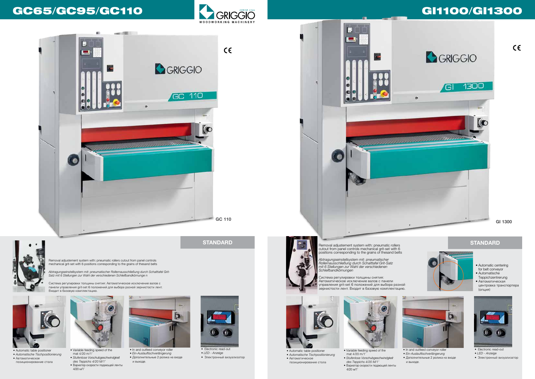# GC65/GC95/GC110 **Concert Concert Concert Concert City Git100/Gi1300**

















• Автоматическое позиционирование стола

*• Automatische Tischpositionierung* • Variable feeding speed of the mat 4/20 m/1' *• Stufenlose Vorschubgeschwindgkeit des Teppichs 4/20 M/1'* • Вариатор скорости подающей ленты 4/20 м/1'

Removal adjustement system with: pneumatic rollers cutout from panel controls mechanical grit-set with 6 positions corresponding to the grains of thesand belts



• In and outfeed conveyor roller *• Ein-Auslauftischverlängerung* • Дополнительные 2 ролика на входе и выходе.



• Electronic read-out *• LED - Anzeige* • Электронный визуализатор

*Abtragungseinstellsystem mit: pneumatischer Rollernausschließung durch Schalttafel Grit-Satz mit 6 Stellungen zur Wahl der verschiedenen Schleifbandkörnunge n*

**STANDARD STANDARD STANDARD STANDARD Removal adjustement system with: pneumatic rollers STANDARD** cutout from panel controls mechanical grit-set with 6 positions corresponding to the grains of thesand belts

n

**LA** 

**Ref** 

Система регулировки толщины снятия: Автоматическое исключение валов с панели управления grit-set 6 положений для выбора разной зернистости лент. Входит в базовую комплектацию.

- Automatic centering for belt conveyor
- Automatische Teppichzentrerung
- Автоматическая центровка транспортера  $($  $(n)$







позиционирование стола



• Variable feeding speed of the mat 4/20 m/1' *• Stufenlose Vorschubgeschwindgkeit des Teppichs 4/20 M/1'*

• Вариатор скорости подающей ленты 4/20 м/1'







<u> Talet talet til statistike til statistik</u>

- In and outfeed conveyor roller
- *Ein-Auslauftischverlängerung*
- Дополнительные 2 ролика на входе и выходе.



- *LED Anzeige*
- Электронный визуализатор

 $C \in$ 

*Abtragungseinstellsystem mit: pneumatischer Rollernausschließung durch Schalttafel Grit-Satz mit 6 Stellungen zur Wahl der verschiedenen Schleifbandkörnungen*

Система регулировки толщины снятия: Автоматическое исключение валов с панели управления grit-set 6 положений для выбора разной зернистости лент. Входит в базовую комплектацию.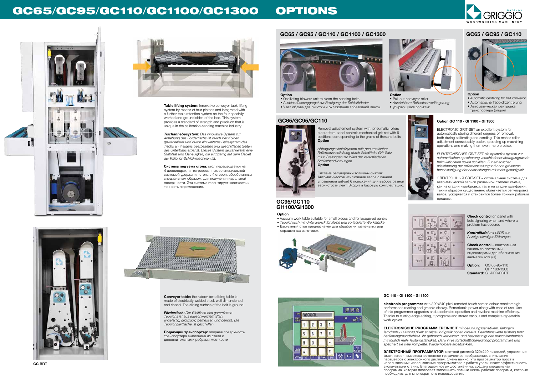



# **GC65 / GC95 / GC110 / GC1100 / GC1300 GC65 / GC95 / GC110**



# GC65/GC95/GC110/GC1100/GC1300 OPTIONS





## **GC65/GC95/GC110**



### **GC95/GC110 GI1100/GI1300**

**Table lifting system:** Innovative conveyor table lifting system by means of four pistons and integrated with a further table retention system on the four specially worked and ground sides of the bed. This system provides a standard of strength and precision that is unique in the calibration-sanding machine industry.

*Tischanhebesystem: Das innovative System zur Anhebung des Fördertischs ist durch vier Kolben gewährleistet und durch ein weiteres Haltesystem des Tischs an 4 eigens bearbeiteten und geschliffenen Seiten des Unterbaus ergänzt. Dieses System gewährleistet eine Stabilität und Geneuigkeit, die einzigartig auf dem Gebiet der Kalibrier-Schleifmaschinen ist.*

**Система подъема стола:** стол перемещается на 4 циллиндрах, интегрированных со специальной системой удержания стола с 4 сторон, обработанных специальным образом, для получения идеальной поверхности. Эта система гарантирует жесткость и точность перемещения.



**Conveyor table:** the rubber belt sliding table is made of electrically welded steel, well dimensioned and ribbed. The sliding surface of the belt is ground.

*Fördertisch: Der Gleittisch des gummierten Teppichs ist aus egeschweißtem Stahl angefertig, großzügig bemessen und gerippt. Die Teppichgleitfläche ist geschliffen.*

**Option: GC 65-95-110**  GI 1100-1300 **Standard:** GI -RRR/RRRT

**Подающий транспортер:** опорная поверхность транспортера выполнена из стали с дополнительными ребрами жесткости

**Option**

- Oscillating blowers unit to clean the sanding belts *• Ausblasdüsenaggregat zur Reinigung der Schleifbänder* **Option**
- Узел обдува для очистки и охлаждения абразивной ленты.



• Pull-out conveyor roller *• Ausziehbare Rollentischverlängerung* • убирающийся рольганг



### **Option**

- Automatic centering for belt conveyor
- Automatische Teppichzentrerung
- Автоматическая центровка
- транспортера (опция)



Removal adjustement system with: pneumatic rollers cutout from panel controls mechanical grit-set with 6 positions corresponding to the grains of thesand belts **Option**

*Abtragungseinstellsystem mit: pneumatischer Rollernausschließung durch Schalttafel Grit-Satz mit 6 Stellungen zur Wahl der verschiedenen Schleifbandkörnungen* **Option**

29 03 05

 $x \rightarrow x$ 

 $20^{5}$ .

Система регулировки толщины снятия: Автоматическое исключение валов с панели управления grit-set 6 положений для выбора разной зернистости лент. Входит в базовую комплектацию.

> **Check control** on panel with leds signaling when and where a problem has occured

*Kontrolltafel mit LEDS zur Anzeige etwaiger Störungen*

**Check control** – контрольная панель со световыми индикаторами для обозначения аномалий (опция)

**Option**

- Vacuum work table suitable for small pieces and for lacquered panels
- *Teppichtisch mit Unterdrunck für kleine und vorlackierte Werkstücke*
- Вакуумный стол предназначен для обработки маленьких или окрашенных заготовок



### **Option GC 110 - GI 1100 - GI 1300**

ELECTRONIC GRIT-SET an excellent system for automatically storing different degrees of removal, both during calibrating and sanding. This makes roller adjustment considerably easier, sppeding up machining operations and making them even more precise.

*ELEKTRONISCHES GRIT-SET ein optimales system zur automatischen speicherung verschiedener abtragungswerte beim kalibrieren sowie schleifen. Zur erheblichen erleichterung der rollerneinstellungund noch grösseren beschleunigung der bearbeitungen mit mehr genauigkeit.*

ЭЛЕКТРОННЫЙ GRIT-SET – оптимальная система для автоматической записи различной степени съема, как на стадии калибровки, так и на стадии шлифовки. Таким образом существенно облегчается регулировка валов, ускоряется и становится более точным рабочий процесс.



### **GC 110 - GI 1100 - GI 1300**

**electronic programmer** with 320x240 pixel remoted touch screen colour monitor: highperformance reading and graphic display. Remarkable power along with ease of use. Use of this programmer upgrades and accelerates operation and revelant machine efficiency. Thanks to cutting-edge editing, it programs and stored various and complete repeatable work cycles.

**ELEKTRONISCHE PROGRAMMIEREINHEIT** *mit berührungssensitivem. farbigem ferndisplay 320x240 pixel: anzeige und grafik hohen niveaus. Beachtenswerte leistung trotz bedienungfreundlichkeit. Ihr gebrauch verbessert und beschleunigt den maschinenbetrieb mit folglich mehr leistungsfähigkeit. Dank ihres fortschrittlicheneditingd programmiert und speichert sie viele komplette. Wiederholbare arbeitszyklen.*

**ЭЛЕКТРОННЫЙ ПРОГРАММАТОР:** цветной дисплей 320x240 пикселей, управление touch screen: высококачественное графическое изображение, считывание параметров с электронного дисплея. Очень важно, что программатор прост в использовании: использование программатора в работе увеличивает эффективность эксплуатации станка. Благодаря новым достижениям, создана специальная программа, которая позволяет запоминать полные циклы рабочих программ, которые необходимы для многократного использования.